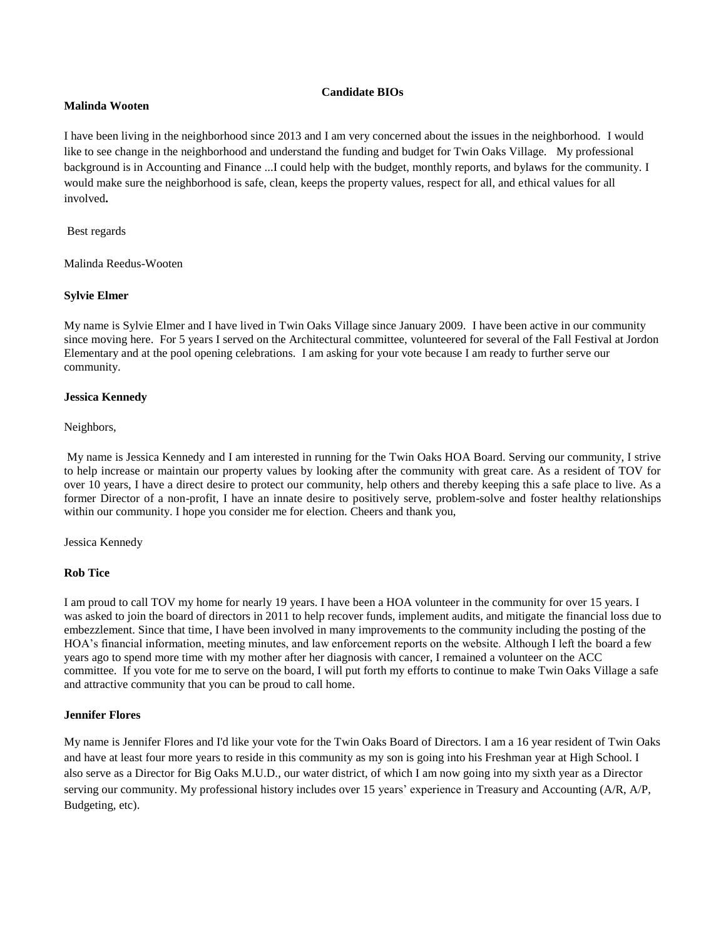## **Candidate BIOs**

### **Malinda Wooten**

I have been living in the neighborhood since 2013 and I am very concerned about the issues in the neighborhood. I would like to see change in the neighborhood and understand the funding and budget for Twin Oaks Village. My professional background is in Accounting and Finance ...I could help with the budget, monthly reports, and bylaws for the community. I would make sure the neighborhood is safe, clean, keeps the property values, respect for all, and ethical values for all involved**.**

Best regards

Malinda Reedus-Wooten

## **Sylvie Elmer**

My name is Sylvie Elmer and I have lived in Twin Oaks Village since January 2009. I have been active in our community since moving here. For 5 years I served on the Architectural committee, volunteered for several of the Fall Festival at Jordon Elementary and at the pool opening celebrations. I am asking for your vote because I am ready to further serve our community.

## **Jessica Kennedy**

#### Neighbors,

My name is Jessica Kennedy and I am interested in running for the Twin Oaks HOA Board. Serving our community, I strive to help increase or maintain our property values by looking after the community with great care. As a resident of TOV for over 10 years, I have a direct desire to protect our community, help others and thereby keeping this a safe place to live. As a former Director of a non-profit, I have an innate desire to positively serve, problem-solve and foster healthy relationships within our community. I hope you consider me for election. Cheers and thank you,

Jessica Kennedy

#### **Rob Tice**

I am proud to call TOV my home for nearly 19 years. I have been a HOA volunteer in the community for over 15 years. I was asked to join the board of directors in 2011 to help recover funds, implement audits, and mitigate the financial loss due to embezzlement. Since that time, I have been involved in many improvements to the community including the posting of the HOA's financial information, meeting minutes, and law enforcement reports on the website. Although I left the board a few years ago to spend more time with my mother after her diagnosis with cancer, I remained a volunteer on the ACC committee. If you vote for me to serve on the board, I will put forth my efforts to continue to make Twin Oaks Village a safe and attractive community that you can be proud to call home.

# **Jennifer Flores**

My name is Jennifer Flores and I'd like your vote for the Twin Oaks Board of Directors. I am a 16 year resident of Twin Oaks and have at least four more years to reside in this community as my son is going into his Freshman year at High School. I also serve as a Director for Big Oaks M.U.D., our water district, of which I am now going into my sixth year as a Director serving our community. My professional history includes over 15 years' experience in Treasury and Accounting (A/R, A/P, Budgeting, etc).